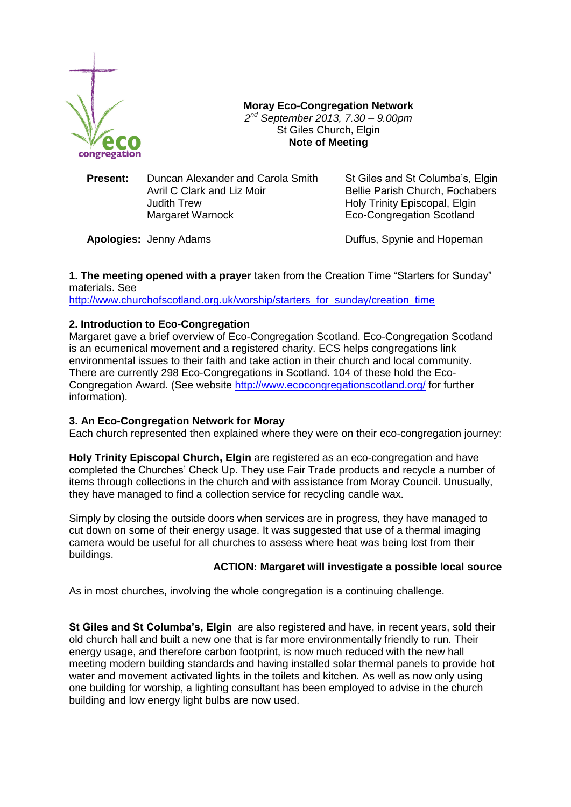

**Moray Eco-Congregation Network** *2 nd September 2013, 7.30 – 9.00pm* St Giles Church, Elgin **Note of Meeting**

**Present:** Duncan Alexander and Carola Smith St Giles and St Columba's, Elgin Avril C Clark and Liz Moir **Bellie Parish Church, Fochabers** Judith Trew **Holy Trinity Episcopal, Elgin** Margaret Warnock Eco-Congregation Scotland

**Apologies:** Jenny Adams **Duffus, Spynie and Hopeman** 

**1. The meeting opened with a prayer** taken from the Creation Time "Starters for Sunday" materials. See

[http://www.churchofscotland.org.uk/worship/starters\\_for\\_sunday/creation\\_time](http://www.churchofscotland.org.uk/worship/starters_for_sunday/creation_time)

# **2. Introduction to Eco-Congregation**

Margaret gave a brief overview of Eco-Congregation Scotland. Eco-Congregation Scotland is an ecumenical movement and a registered charity. ECS helps congregations link environmental issues to their faith and take action in their church and local community. There are currently 298 Eco-Congregations in Scotland. 104 of these hold the Eco-Congregation Award. (See website<http://www.ecocongregationscotland.org/> for further information).

### **3. An Eco-Congregation Network for Moray**

Each church represented then explained where they were on their eco-congregation journey:

**Holy Trinity Episcopal Church, Elgin** are registered as an eco-congregation and have completed the Churches' Check Up. They use Fair Trade products and recycle a number of items through collections in the church and with assistance from Moray Council. Unusually, they have managed to find a collection service for recycling candle wax.

Simply by closing the outside doors when services are in progress, they have managed to cut down on some of their energy usage. It was suggested that use of a thermal imaging camera would be useful for all churches to assess where heat was being lost from their buildings.

# **ACTION: Margaret will investigate a possible local source**

As in most churches, involving the whole congregation is a continuing challenge.

**St Giles and St Columba's, Elgin** are also registered and have, in recent years, sold their old church hall and built a new one that is far more environmentally friendly to run. Their energy usage, and therefore carbon footprint, is now much reduced with the new hall meeting modern building standards and having installed solar thermal panels to provide hot water and movement activated lights in the toilets and kitchen. As well as now only using one building for worship, a lighting consultant has been employed to advise in the church building and low energy light bulbs are now used.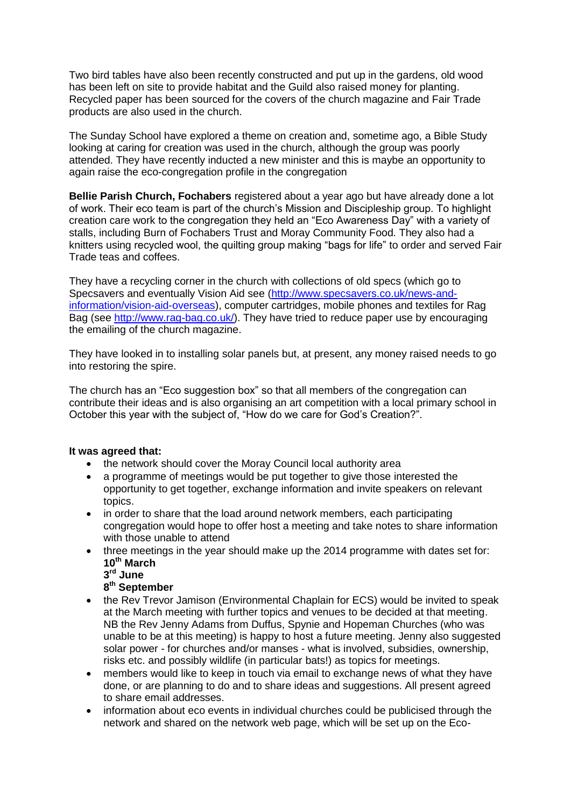Two bird tables have also been recently constructed and put up in the gardens, old wood has been left on site to provide habitat and the Guild also raised money for planting. Recycled paper has been sourced for the covers of the church magazine and Fair Trade products are also used in the church.

The Sunday School have explored a theme on creation and, sometime ago, a Bible Study looking at caring for creation was used in the church, although the group was poorly attended. They have recently inducted a new minister and this is maybe an opportunity to again raise the eco-congregation profile in the congregation

**Bellie Parish Church, Fochabers** registered about a year ago but have already done a lot of work. Their eco team is part of the church's Mission and Discipleship group. To highlight creation care work to the congregation they held an "Eco Awareness Day" with a variety of stalls, including Burn of Fochabers Trust and Moray Community Food. They also had a knitters using recycled wool, the quilting group making "bags for life" to order and served Fair Trade teas and coffees.

They have a recycling corner in the church with collections of old specs (which go to Specsavers and eventually Vision Aid see [\(http://www.specsavers.co.uk/news-and](http://www.specsavers.co.uk/news-and-information/vision-aid-overseas)[information/vision-aid-overseas\)](http://www.specsavers.co.uk/news-and-information/vision-aid-overseas), computer cartridges, mobile phones and textiles for Rag Bag (see [http://www.rag-bag.co.uk/\)](http://www.rag-bag.co.uk/). They have tried to reduce paper use by encouraging the emailing of the church magazine.

They have looked in to installing solar panels but, at present, any money raised needs to go into restoring the spire.

The church has an "Eco suggestion box" so that all members of the congregation can contribute their ideas and is also organising an art competition with a local primary school in October this year with the subject of, "How do we care for God's Creation?".

### **It was agreed that:**

- the network should cover the Moray Council local authority area
- a programme of meetings would be put together to give those interested the opportunity to get together, exchange information and invite speakers on relevant topics.
- in order to share that the load around network members, each participating congregation would hope to offer host a meeting and take notes to share information with those unable to attend
- three meetings in the year should make up the 2014 programme with dates set for: **10th March**
	- **3 rd June**

## **8 th September**

- the Rev Trevor Jamison (Environmental Chaplain for ECS) would be invited to speak at the March meeting with further topics and venues to be decided at that meeting. NB the Rev Jenny Adams from Duffus, Spynie and Hopeman Churches (who was unable to be at this meeting) is happy to host a future meeting. Jenny also suggested solar power - for churches and/or manses - what is involved, subsidies, ownership, risks etc. and possibly wildlife (in particular bats!) as topics for meetings.
- members would like to keep in touch via email to exchange news of what they have done, or are planning to do and to share ideas and suggestions. All present agreed to share email addresses.
- information about eco events in individual churches could be publicised through the network and shared on the network web page, which will be set up on the Eco-